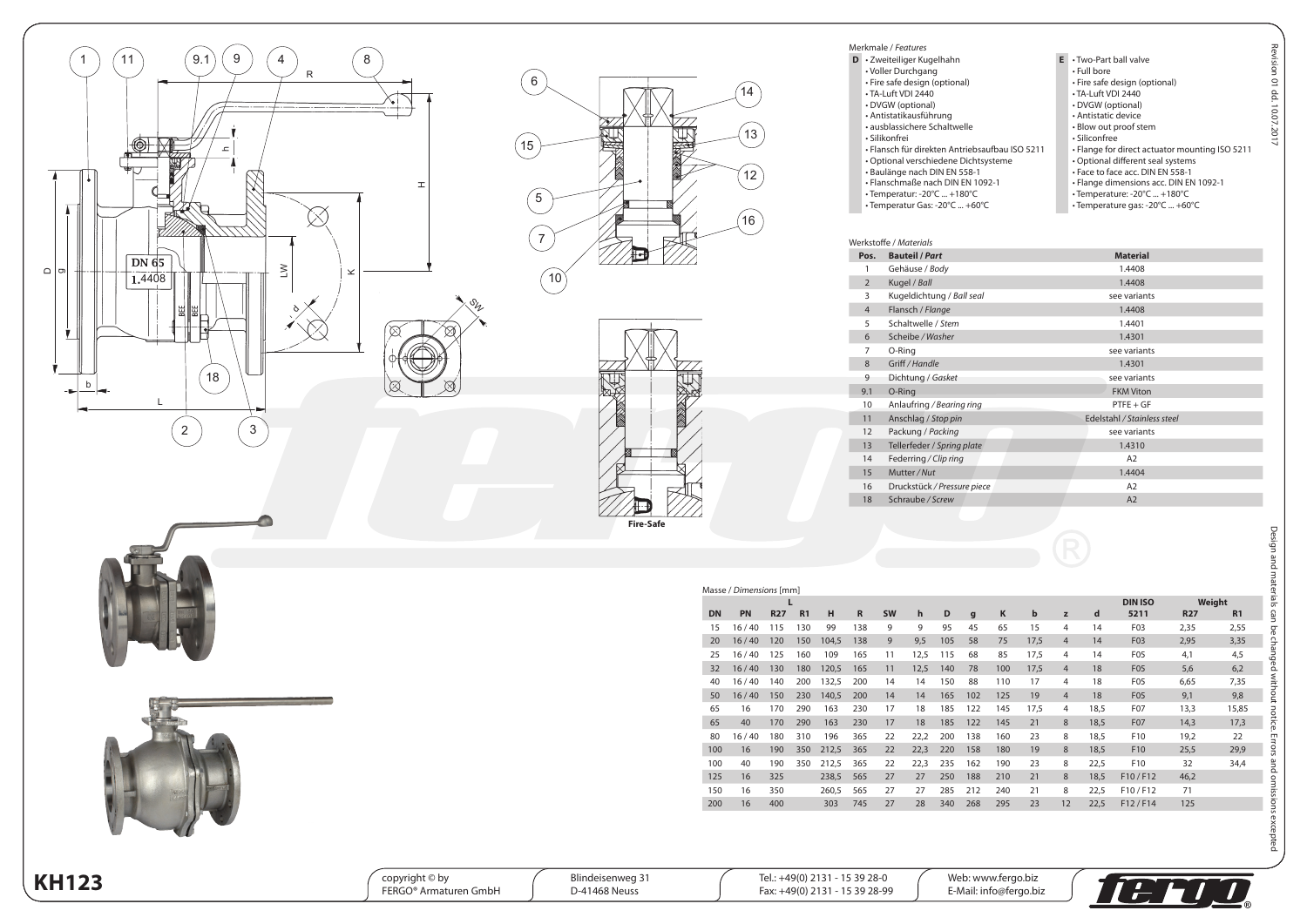





| Merkmale / Features                            |    |                                                |  |  |  |  |  |
|------------------------------------------------|----|------------------------------------------------|--|--|--|--|--|
| D · Zweiteiliger Kugelhahn                     | F. | . Two-Part ball valve                          |  |  |  |  |  |
| • Voller Durchgang                             |    | • Full bore                                    |  |  |  |  |  |
| · Fire safe design (optional)                  |    | · Fire safe design (optional)                  |  |  |  |  |  |
| • TA-Luft VDI 2440                             |    | • TA-Luft VDI 2440                             |  |  |  |  |  |
| • DVGW (optional)                              |    | • DVGW (optional)                              |  |  |  |  |  |
| · Antistatikausführung                         |    | · Antistatic device                            |  |  |  |  |  |
| • ausblassichere Schaltwelle                   |    | • Blow out proof stem                          |  |  |  |  |  |
| · Silikonfrei                                  |    | · Siliconfree                                  |  |  |  |  |  |
| • Flansch für direkten Antriebsaufbau ISO 5211 |    | . Flange for direct actuator mounting ISO 5211 |  |  |  |  |  |
| • Optional verschiedene Dichtsysteme           |    | • Optional different seal systems              |  |  |  |  |  |
| · Baulänge nach DIN EN 558-1                   |    | . Face to face acc. DIN EN 558-1               |  |  |  |  |  |
| • Flanschmaße nach DIN EN 1092-1               |    | • Flange dimensions acc. DIN EN 1092-1         |  |  |  |  |  |
| $\cdot$ Temperatur: -20°C  +180°C              |    | • Temperature: -20°C  +180°C                   |  |  |  |  |  |
| • Temperatur Gas: -20°C  +60°C                 |    | • Temperature gas: -20°C  +60°C                |  |  |  |  |  |

Merkmale / *Features*

|                | Werkstoffe / <i>Materials</i> |                             |
|----------------|-------------------------------|-----------------------------|
| Pos.           | <b>Bauteil / Part</b>         | <b>Material</b>             |
| 1              | Gehäuse / Body                | 1.4408                      |
| $\overline{2}$ | Kugel / Ball                  | 1.4408                      |
| 3              | Kugeldichtung / Ball seal     | see variants                |
| $\overline{4}$ | Flansch / Flange              | 1.4408                      |
| 5              | Schaltwelle / Stem            | 1.4401                      |
| 6              | Scheibe / Washer              | 1.4301                      |
| 7              | O-Ring                        | see variants                |
| 8              | Griff / Handle                | 1.4301                      |
| 9              | Dichtung / Gasket             | see variants                |
| 9.1            | O-Ring                        | <b>FKM Viton</b>            |
| 10             | Anlaufring / Bearing ring     | $PTFE + GF$                 |
| 11             | Anschlag / Stop pin           | Edelstahl / Stainless steel |
| 12             | Packung / Packing             | see variants                |
| 13             | Tellerfeder / Spring plate    | 1.4310                      |
| 14             | Federring / Clip ring         | A <sub>2</sub>              |
| 15             | Mutter / Nut                  | 1.4404                      |
| 16             | Druckstück / Pressure piece   | A <sub>2</sub>              |
| 18             | Schraube / Screw              | A2                          |

|           |       |            | L              |       |              |           |      |     |              |     |      |                |      | <b>DIN ISO</b>   | Weight     |       |
|-----------|-------|------------|----------------|-------|--------------|-----------|------|-----|--------------|-----|------|----------------|------|------------------|------------|-------|
| <b>DN</b> | PN    | <b>R27</b> | R <sub>1</sub> | н     | $\mathbb{R}$ | <b>SW</b> | h    | D   | $\mathbf{g}$ | K   | b    | z              | d    | 5211             | <b>R27</b> | R1    |
| 15        | 16/40 | 115        | 130            | 99    | 138          | 9         | 9    | 95  | 45           | 65  | 15   | $\overline{4}$ | 14   | F <sub>0</sub> 3 | 2,35       | 2,55  |
| 20        | 16/40 | 120        | 150            | 104,5 | 138          | 9         | 9,5  | 105 | 58           | 75  | 17,5 | $\overline{4}$ | 14   | F03              | 2,95       | 3,35  |
| 25        | 16/40 | 125        | 160            | 109   | 165          | 11        | 12,5 | 115 | 68           | 85  | 17,5 | 4              | 14   | F <sub>05</sub>  | 4,1        | 4,5   |
| 32        | 16/40 | 130        | 180            | 120,5 | 165          | 11        | 12,5 | 140 | 78           | 100 | 17,5 | $\overline{4}$ | 18   | F05              | 5,6        | 6,2   |
| 40        | 16/40 | 140        | 200            | 132,5 | 200          | 14        | 14   | 150 | 88           | 110 | 17   | 4              | 18   | F <sub>05</sub>  | 6,65       | 7,35  |
| 50        | 16/40 | 150        | 230            | 140,5 | 200          | 14        | 14   | 165 | 102          | 125 | 19   | $\overline{4}$ | 18   | F05              | 9,1        | 9,8   |
| 65        | 16    | 170        | 290            | 163   | 230          | 17        | 18   | 185 | 122          | 145 | 17,5 | 4              | 18,5 | F07              | 13,3       | 15,85 |
| 65        | 40    | 170        | 290            | 163   | 230          | 17        | 18   | 185 | 122          | 145 | 21   | 8              | 18,5 | F07              | 14,3       | 17,3  |
| 80        | 16/40 | 180        | 310            | 196   | 365          | 22        | 22,2 | 200 | 138          | 160 | 23   | 8              | 18,5 | F10              | 19,2       | 22    |
| 100       | 16    | 190        | 350            | 212,5 | 365          | 22        | 22,3 | 220 | 158          | 180 | 19   | 8              | 18,5 | F10              | 25,5       | 29,9  |
| 100       | 40    | 190        | 350            | 212,5 | 365          | 22        | 22,3 | 235 | 162          | 190 | 23   | 8              | 22,5 | F10              | 32         | 34,4  |
| 125       | 16    | 325        |                | 238,5 | 565          | 27        | 27   | 250 | 188          | 210 | 21   | 8              | 18,5 | F10/F12          | 46,2       |       |
| 150       | 16    | 350        |                | 260,5 | 565          | 27        | 27   | 285 | 212          | 240 | 21   | 8              | 22,5 | F10/F12          | 71         |       |
| 200       | 16    | 400        |                | 303   | 745          | 27        | 28   | 340 | 268          | 295 | 23   | 12             | 22,5 | F12/F14          | 125        |       |

| × |  |
|---|--|
|   |  |

| <b>KH123</b> | copyright $\circ$ by<br>Armaturen GmbH<br>$FERGO®$ , | Blindeisenweg 3<br>D-41468 Neuss | 15 39 28-L<br>$+49(0)$<br>2121<br>- 15 39 28-99<br>$+49(0)$ 2131<br>Fax. | Web: www.fergo.biz<br>E-Mail: info@fergo.biz |  |
|--------------|------------------------------------------------------|----------------------------------|--------------------------------------------------------------------------|----------------------------------------------|--|
|              |                                                      |                                  |                                                                          |                                              |  |



 $\boldsymbol{\mathcal{J}}$